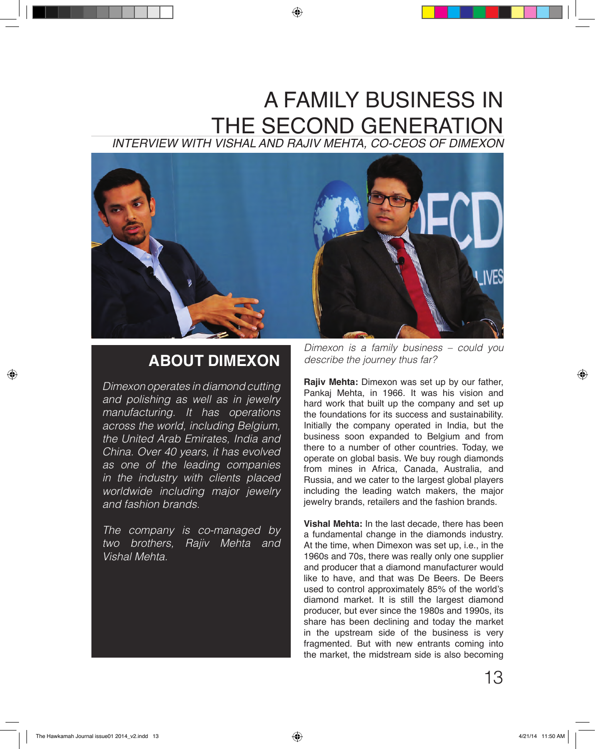## A FAMILY BUSINESS IN THE SECOND GENERATION *INTERVIEW WITH VISHAL AND RAJIV MEHTA, CO-CEOS OF DIMEXON*



## **ABOUT DIMEXON**

*Dimexon operates in diamond cutting and polishing as well as in jewelry manufacturing. It has operations across the world, including Belgium, the United Arab Emirates, India and China. Over 40 years, it has evolved as one of the leading companies in the industry with clients placed worldwide including major jewelry and fashion brands.*

*The company is co-managed by two brothers, Rajiv Mehta and Vishal Mehta.*

*Dimexon is a family business – could you describe the journey thus far?*

**Rajiv Mehta:** Dimexon was set up by our father, Pankaj Mehta, in 1966. It was his vision and hard work that built up the company and set up the foundations for its success and sustainability. Initially the company operated in India, but the business soon expanded to Belgium and from there to a number of other countries. Today, we operate on global basis. We buy rough diamonds from mines in Africa, Canada, Australia, and Russia, and we cater to the largest global players including the leading watch makers, the major iewelry brands, retailers and the fashion brands.

**Vishal Mehta:** In the last decade, there has been a fundamental change in the diamonds industry. At the time, when Dimexon was set up, i.e., in the 1960s and 70s, there was really only one supplier and producer that a diamond manufacturer would like to have, and that was De Beers. De Beers used to control approximately 85% of the world's diamond market. It is still the largest diamond producer, but ever since the 1980s and 1990s, its share has been declining and today the market in the upstream side of the business is very fragmented. But with new entrants coming into the market, the midstream side is also becoming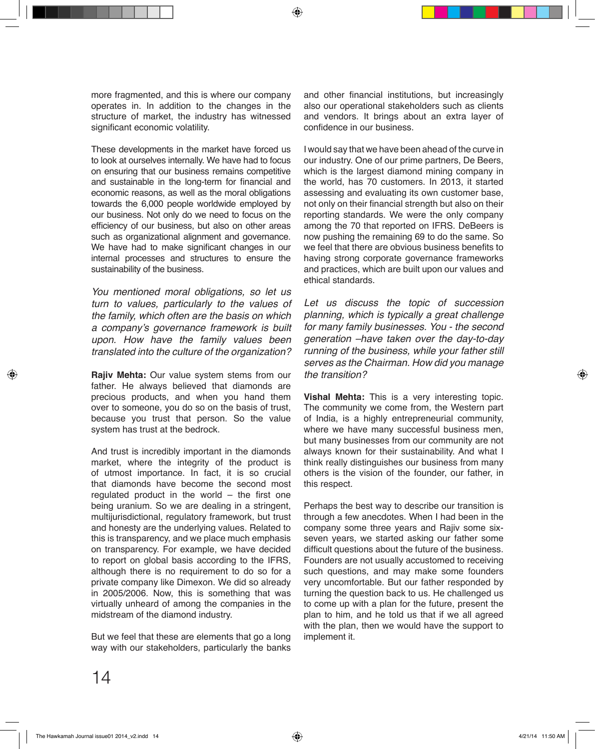more fragmented, and this is where our company operates in. In addition to the changes in the structure of market, the industry has witnessed significant economic volatility.

These developments in the market have forced us to look at ourselves internally. We have had to focus on ensuring that our business remains competitive and sustainable in the long-term for financial and economic reasons, as well as the moral obligations towards the 6,000 people worldwide employed by our business. Not only do we need to focus on the efficiency of our business, but also on other areas such as organizational alignment and governance. We have had to make significant changes in our internal processes and structures to ensure the sustainability of the business.

*You mentioned moral obligations, so let us turn to values, particularly to the values of the family, which often are the basis on which*  a company's governance framework is built *upon. How have the family values been translated into the culture of the organization?*

**Rajiv Mehta:** Our value system stems from our father. He always believed that diamonds are precious products, and when you hand them over to someone, you do so on the basis of trust, because you trust that person. So the value system has trust at the bedrock.

And trust is incredibly important in the diamonds market, where the integrity of the product is of utmost importance. In fact, it is so crucial that diamonds have become the second most regulated product in the world – the first one being uranium. So we are dealing in a stringent, multijurisdictional, regulatory framework, but trust and honesty are the underlying values. Related to this is transparency, and we place much emphasis on transparency. For example, we have decided to report on global basis according to the IFRS, although there is no requirement to do so for a private company like Dimexon. We did so already in 2005/2006. Now, this is something that was virtually unheard of among the companies in the midstream of the diamond industry.

But we feel that these are elements that go a long way with our stakeholders, particularly the banks and other financial institutions, but increasingly also our operational stakeholders such as clients and vendors. It brings about an extra layer of confidence in our business.

I would say that we have been ahead of the curve in our industry. One of our prime partners, De Beers, which is the largest diamond mining company in the world, has 70 customers. In 2013, it started assessing and evaluating its own customer base, not only on their financial strength but also on their reporting standards. We were the only company among the 70 that reported on IFRS. DeBeers is now pushing the remaining 69 to do the same. So we feel that there are obvious business benefits to having strong corporate governance frameworks and practices, which are built upon our values and ethical standards.

*Let us discuss the topic of succession planning, which is typically a great challenge for many family businesses. You - the second generation –have taken over the day-to-day running of the business, while your father still serves as the Chairman. How did you manage the transition?*

**Vishal Mehta:** This is a very interesting topic. The community we come from, the Western part of India, is a highly entrepreneurial community, where we have many successful business men, but many businesses from our community are not always known for their sustainability. And what I think really distinguishes our business from many others is the vision of the founder, our father, in this respect.

Perhaps the best way to describe our transition is through a few anecdotes. When I had been in the company some three years and Rajiv some sixseven years, we started asking our father some difficult questions about the future of the business. Founders are not usually accustomed to receiving such questions, and may make some founders very uncomfortable. But our father responded by turning the question back to us. He challenged us to come up with a plan for the future, present the plan to him, and he told us that if we all agreed with the plan, then we would have the support to implement it.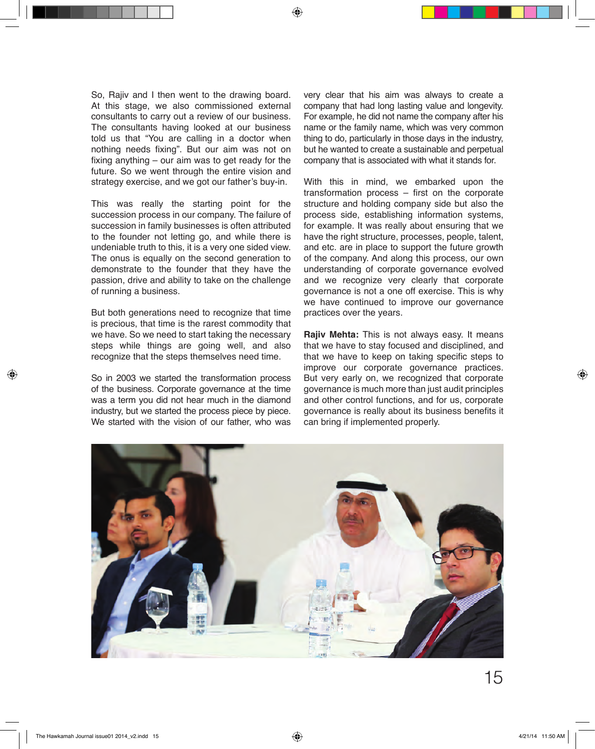So, Rajiv and I then went to the drawing board. At this stage, we also commissioned external consultants to carry out a review of our business. The consultants having looked at our business told us that "You are calling in a doctor when nothing needs fixing". But our aim was not on fixing anything – our aim was to get ready for the future. So we went through the entire vision and strategy exercise, and we got our father's buy-in.

This was really the starting point for the succession process in our company. The failure of succession in family businesses is often attributed to the founder not letting go, and while there is undeniable truth to this, it is a very one sided view. The onus is equally on the second generation to demonstrate to the founder that they have the passion, drive and ability to take on the challenge of running a business.

But both generations need to recognize that time is precious, that time is the rarest commodity that we have. So we need to start taking the necessary steps while things are going well, and also recognize that the steps themselves need time.

So in 2003 we started the transformation process of the business. Corporate governance at the time was a term you did not hear much in the diamond industry, but we started the process piece by piece. We started with the vision of our father, who was very clear that his aim was always to create a company that had long lasting value and longevity. For example, he did not name the company after his name or the family name, which was very common thing to do, particularly in those days in the industry, but he wanted to create a sustainable and perpetual company that is associated with what it stands for.

With this in mind, we embarked upon the transformation process – first on the corporate structure and holding company side but also the process side, establishing information systems, for example. It was really about ensuring that we have the right structure, processes, people, talent, and etc. are in place to support the future growth of the company. And along this process, our own understanding of corporate governance evolved and we recognize very clearly that corporate governance is not a one off exercise. This is why we have continued to improve our governance practices over the years.

**Rajiv Mehta:** This is not always easy. It means that we have to stay focused and disciplined, and that we have to keep on taking specific steps to improve our corporate governance practices. But very early on, we recognized that corporate governance is much more than just audit principles and other control functions, and for us, corporate governance is really about its business benefits it can bring if implemented properly.

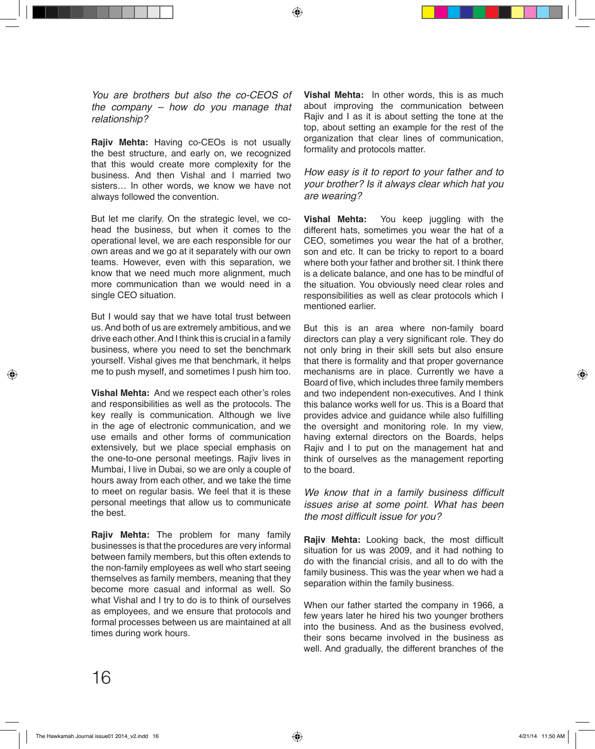*You are brothers but also the co-CEOS of the company – how do you manage that relationship?*

**Rajiv Mehta:** Having co-CEOs is not usually the best structure, and early on, we recognized that this would create more complexity for the business. And then Vishal and I married two sisters… In other words, we know we have not always followed the convention.

But let me clarify. On the strategic level, we cohead the business, but when it comes to the operational level, we are each responsible for our own areas and we go at it separately with our own teams. However, even with this separation, we know that we need much more alignment, much more communication than we would need in a single CEO situation.

But I would say that we have total trust between us. And both of us are extremely ambitious, and we drive each other. And I think this is crucial in a family business, where you need to set the benchmark yourself. Vishal gives me that benchmark, it helps me to push myself, and sometimes I push him too.

**Vishal Mehta:** And we respect each other's roles and responsibilities as well as the protocols. The key really is communication. Although we live in the age of electronic communication, and we use emails and other forms of communication extensively, but we place special emphasis on the one-to-one personal meetings. Rajiv lives in Mumbai, I live in Dubai, so we are only a couple of hours away from each other, and we take the time to meet on regular basis. We feel that it is these personal meetings that allow us to communicate the best.

**Rajiv Mehta:** The problem for many family businesses is that the procedures are very informal between family members, but this often extends to the non-family employees as well who start seeing themselves as family members, meaning that they become more casual and informal as well. So what Vishal and I try to do is to think of ourselves as employees, and we ensure that protocols and formal processes between us are maintained at all times during work hours.

**Vishal Mehta:** In other words, this is as much about improving the communication between Rajiv and I as it is about setting the tone at the top, about setting an example for the rest of the organization that clear lines of communication, formality and protocols matter.

## *How easy is it to report to your father and to your brother? Is it always clear which hat you are wearing?*

**Vishal Mehta:** You keep juggling with the different hats, sometimes you wear the hat of a CEO, sometimes you wear the hat of a brother, son and etc. It can be tricky to report to a board where both your father and brother sit. I think there is a delicate balance, and one has to be mindful of the situation. You obviously need clear roles and responsibilities as well as clear protocols which I mentioned earlier.

But this is an area where non-family board directors can play a very significant role. They do not only bring in their skill sets but also ensure that there is formality and that proper governance mechanisms are in place. Currently we have a Board of five, which includes three family members and two independent non-executives. And I think this balance works well for us. This is a Board that provides advice and guidance while also fulfilling the oversight and monitoring role. In my view, having external directors on the Boards, helps Rajiv and I to put on the management hat and think of ourselves as the management reporting to the board.

We know that in a family business difficult *issues arise at some point. What has been*  the most difficult issue for you?

**Rajiv Mehta:** Looking back, the most difficult situation for us was 2009, and it had nothing to do with the financial crisis, and all to do with the family business. This was the year when we had a separation within the family business.

When our father started the company in 1966, a few years later he hired his two younger brothers into the business. And as the business evolved, their sons became involved in the business as well. And gradually, the different branches of the